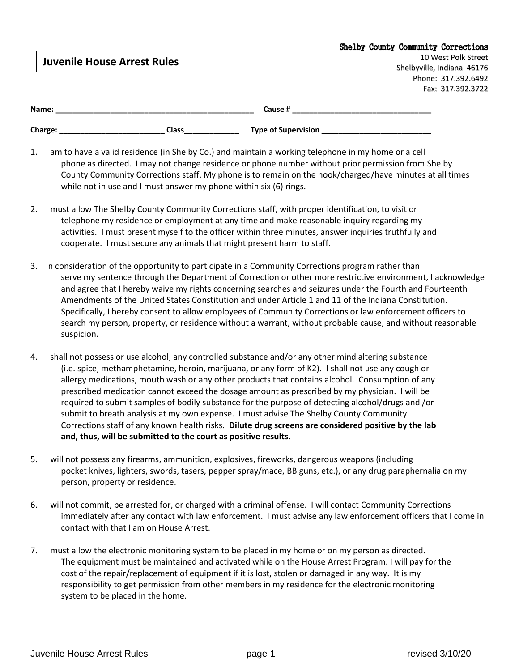|                                    |       |                     |  | <b>Shelby County Community Corrections</b> |
|------------------------------------|-------|---------------------|--|--------------------------------------------|
| <b>Juvenile House Arrest Rules</b> |       |                     |  | 10 West Polk Street                        |
|                                    |       |                     |  | Shelbyville, Indiana 46176                 |
|                                    |       |                     |  | Phone: 317.392.6492                        |
|                                    |       |                     |  | Fax: 317.392.3722                          |
|                                    |       |                     |  |                                            |
| Name:                              |       | Cause #             |  |                                            |
| Charge:                            | Class | Type of Supervision |  |                                            |

- 1. I am to have a valid residence (in Shelby Co.) and maintain a working telephone in my home or a cell phone as directed. I may not change residence or phone number without prior permission from Shelby County Community Corrections staff. My phone is to remain on the hook/charged/have minutes at all times while not in use and I must answer my phone within six (6) rings.
- 2. I must allow The Shelby County Community Corrections staff, with proper identification, to visit or telephone my residence or employment at any time and make reasonable inquiry regarding my activities. I must present myself to the officer within three minutes, answer inquiries truthfully and cooperate. I must secure any animals that might present harm to staff.
- 3. In consideration of the opportunity to participate in a Community Corrections program rather than serve my sentence through the Department of Correction or other more restrictive environment, I acknowledge and agree that I hereby waive my rights concerning searches and seizures under the Fourth and Fourteenth Amendments of the United States Constitution and under Article 1 and 11 of the Indiana Constitution. Specifically, I hereby consent to allow employees of Community Corrections or law enforcement officers to search my person, property, or residence without a warrant, without probable cause, and without reasonable suspicion.
- 4. I shall not possess or use alcohol, any controlled substance and/or any other mind altering substance (i.e. spice, methamphetamine, heroin, marijuana, or any form of K2). I shall not use any cough or allergy medications, mouth wash or any other products that contains alcohol. Consumption of any prescribed medication cannot exceed the dosage amount as prescribed by my physician. I will be required to submit samples of bodily substance for the purpose of detecting alcohol/drugs and /or submit to breath analysis at my own expense. I must advise The Shelby County Community Corrections staff of any known health risks. **Dilute drug screens are considered positive by the lab and, thus, will be submitted to the court as positive results.**
- 5. I will not possess any firearms, ammunition, explosives, fireworks, dangerous weapons (including pocket knives, lighters, swords, tasers, pepper spray/mace, BB guns, etc.), or any drug paraphernalia on my person, property or residence.
- 6. I will not commit, be arrested for, or charged with a criminal offense. I will contact Community Corrections immediately after any contact with law enforcement. I must advise any law enforcement officers that I come in contact with that I am on House Arrest.
- 7. I must allow the electronic monitoring system to be placed in my home or on my person as directed. The equipment must be maintained and activated while on the House Arrest Program. I will pay for the cost of the repair/replacement of equipment if it is lost, stolen or damaged in any way. It is my responsibility to get permission from other members in my residence for the electronic monitoring system to be placed in the home.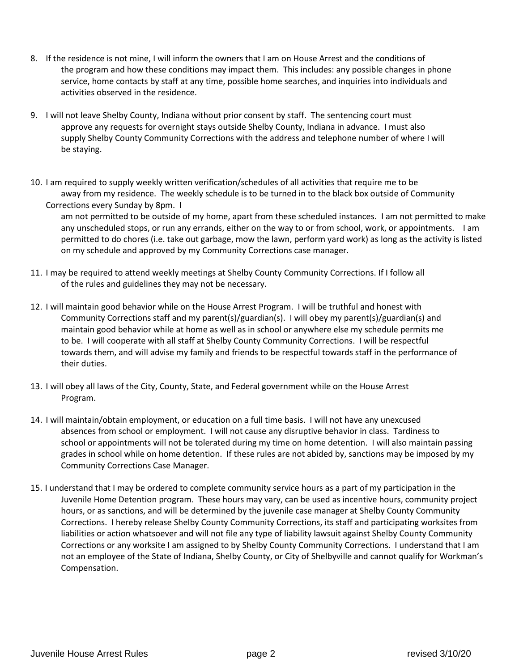- 8. If the residence is not mine, I will inform the owners that I am on House Arrest and the conditions of the program and how these conditions may impact them. This includes: any possible changes in phone service, home contacts by staff at any time, possible home searches, and inquiries into individuals and activities observed in the residence.
- 9. I will not leave Shelby County, Indiana without prior consent by staff. The sentencing court must approve any requests for overnight stays outside Shelby County, Indiana in advance. I must also supply Shelby County Community Corrections with the address and telephone number of where I will be staying.
- 10. I am required to supply weekly written verification/schedules of all activities that require me to be away from my residence. The weekly schedule is to be turned in to the black box outside of Community Corrections every Sunday by 8pm. I

am not permitted to be outside of my home, apart from these scheduled instances. I am not permitted to make any unscheduled stops, or run any errands, either on the way to or from school, work, or appointments. I am permitted to do chores (i.e. take out garbage, mow the lawn, perform yard work) as long as the activity is listed on my schedule and approved by my Community Corrections case manager.

- 11. I may be required to attend weekly meetings at Shelby County Community Corrections. If I follow all of the rules and guidelines they may not be necessary.
- 12. I will maintain good behavior while on the House Arrest Program. I will be truthful and honest with Community Corrections staff and my parent(s)/guardian(s). I will obey my parent(s)/guardian(s) and maintain good behavior while at home as well as in school or anywhere else my schedule permits me to be. I will cooperate with all staff at Shelby County Community Corrections. I will be respectful towards them, and will advise my family and friends to be respectful towards staff in the performance of their duties.
- 13. I will obey all laws of the City, County, State, and Federal government while on the House Arrest Program.
- 14. I will maintain/obtain employment, or education on a full time basis. I will not have any unexcused absences from school or employment. I will not cause any disruptive behavior in class. Tardiness to school or appointments will not be tolerated during my time on home detention. I will also maintain passing grades in school while on home detention. If these rules are not abided by, sanctions may be imposed by my Community Corrections Case Manager.
- 15. I understand that I may be ordered to complete community service hours as a part of my participation in the Juvenile Home Detention program. These hours may vary, can be used as incentive hours, community project hours, or as sanctions, and will be determined by the juvenile case manager at Shelby County Community Corrections. I hereby release Shelby County Community Corrections, its staff and participating worksites from liabilities or action whatsoever and will not file any type of liability lawsuit against Shelby County Community Corrections or any worksite I am assigned to by Shelby County Community Corrections. I understand that I am not an employee of the State of Indiana, Shelby County, or City of Shelbyville and cannot qualify for Workman's Compensation.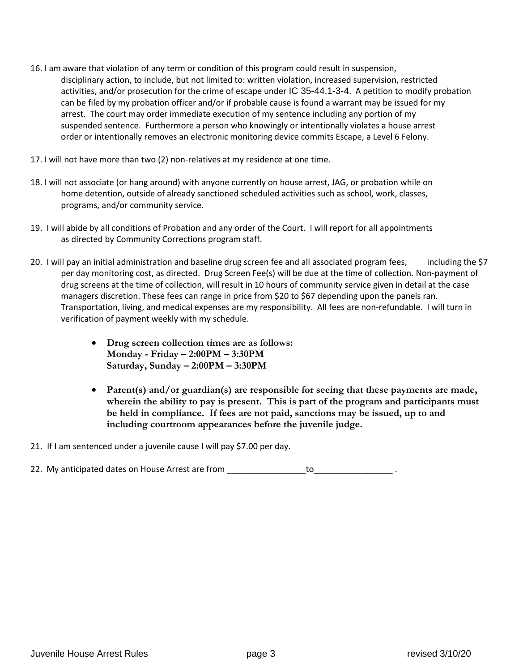- 16. I am aware that violation of any term or condition of this program could result in suspension, disciplinary action, to include, but not limited to: written violation, increased supervision, restricted activities, and/or prosecution for the crime of escape under IC 35-44.1-3-4. A petition to modify probation can be filed by my probation officer and/or if probable cause is found a warrant may be issued for my arrest. The court may order immediate execution of my sentence including any portion of my suspended sentence. Furthermore a person who knowingly or intentionally violates a house arrest order or intentionally removes an electronic monitoring device commits Escape, a Level 6 Felony.
- 17. I will not have more than two (2) non-relatives at my residence at one time.
- 18. I will not associate (or hang around) with anyone currently on house arrest, JAG, or probation while on home detention, outside of already sanctioned scheduled activities such as school, work, classes, programs, and/or community service.
- 19. I will abide by all conditions of Probation and any order of the Court. I will report for all appointments as directed by Community Corrections program staff.
- 20. I will pay an initial administration and baseline drug screen fee and all associated program fees, including the \$7 per day monitoring cost, as directed. Drug Screen Fee(s) will be due at the time of collection. Non-payment of drug screens at the time of collection, will result in 10 hours of community service given in detail at the case managers discretion. These fees can range in price from \$20 to \$67 depending upon the panels ran. Transportation, living, and medical expenses are my responsibility. All fees are non-refundable. I will turn in verification of payment weekly with my schedule.
	- **Drug screen collection times are as follows: Monday - Friday – 2:00PM – 3:30PM Saturday, Sunday – 2:00PM – 3:30PM**
	- **Parent(s) and/or guardian(s) are responsible for seeing that these payments are made, wherein the ability to pay is present. This is part of the program and participants must be held in compliance. If fees are not paid, sanctions may be issued, up to and including courtroom appearances before the juvenile judge.**
- 21. If I am sentenced under a juvenile cause I will pay \$7.00 per day.
- 22. My anticipated dates on House Arrest are from \_\_\_\_\_\_\_\_\_\_\_\_\_\_\_\_\_\_\_\_\_\_\_\_\_\_\_\_\_\_\_ .